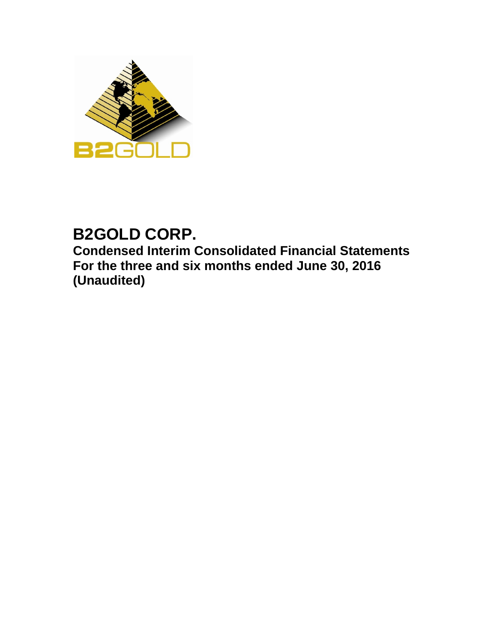

# **B2GOLD CORP.**

**Condensed Interim Consolidated Financial Statements For the three and six months ended June 30, 2016 (Unaudited)**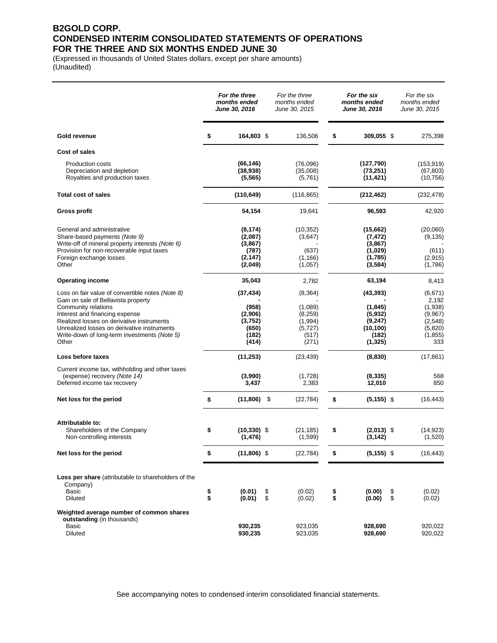### **B2GOLD CORP. CONDENSED INTERIM CONSOLIDATED STATEMENTS OF OPERATIONS FOR THE THREE AND SIX MONTHS ENDED JUNE 30**

(Expressed in thousands of United States dollars, except per share amounts) (Unaudited)

|                                                                                                                                                                                                                                                                                                       |          | For the three<br>months ended<br><b>June 30, 2016</b>               |          | For the three<br>months ended<br>June 30, 2015                            |          | For the six<br>months ended<br>June 30, 2016                                  |          | For the six<br>months ended<br>June 30, 2015                                    |
|-------------------------------------------------------------------------------------------------------------------------------------------------------------------------------------------------------------------------------------------------------------------------------------------------------|----------|---------------------------------------------------------------------|----------|---------------------------------------------------------------------------|----------|-------------------------------------------------------------------------------|----------|---------------------------------------------------------------------------------|
| Gold revenue                                                                                                                                                                                                                                                                                          | \$       | 164,803 \$                                                          |          | 136,506                                                                   | \$       | 309,055 \$                                                                    |          | 275,398                                                                         |
| Cost of sales                                                                                                                                                                                                                                                                                         |          |                                                                     |          |                                                                           |          |                                                                               |          |                                                                                 |
| <b>Production costs</b><br>Depreciation and depletion<br>Royalties and production taxes                                                                                                                                                                                                               |          | (66, 146)<br>(38, 938)<br>(5, 565)                                  |          | (76,096)<br>(35,008)<br>(5,761)                                           |          | (127, 790)<br>(73, 251)<br>(11, 421)                                          |          | (153, 919)<br>(67, 803)<br>(10, 756)                                            |
| <b>Total cost of sales</b>                                                                                                                                                                                                                                                                            |          | (110, 649)                                                          |          | (116, 865)                                                                |          | (212, 462)                                                                    |          | (232, 478)                                                                      |
| Gross profit                                                                                                                                                                                                                                                                                          |          | 54,154                                                              |          | 19,641                                                                    |          | 96,593                                                                        |          | 42,920                                                                          |
| General and administrative<br>Share-based payments (Note 9)<br>Write-off of mineral property interests (Note 6)<br>Provision for non-recoverable input taxes<br>Foreign exchange losses<br>Other                                                                                                      |          | (8, 174)<br>(2,087)<br>(3,867)<br>(787)<br>(2, 147)<br>(2,049)      |          | (10, 352)<br>(3,647)<br>(637)<br>(1, 166)<br>(1,057)                      |          | (15,662)<br>(7, 472)<br>(3,867)<br>(1,029)<br>(1,785)<br>(3, 584)             |          | (20,060)<br>(9, 135)<br>(611)<br>(2, 915)<br>(1,786)                            |
| <b>Operating income</b>                                                                                                                                                                                                                                                                               |          | 35,043                                                              |          | 2,782                                                                     |          | 63,194                                                                        |          | 8,413                                                                           |
| Loss on fair value of convertible notes (Note 8)<br>Gain on sale of Bellavista property<br>Community relations<br>Interest and financing expense<br>Realized losses on derivative instruments<br>Unrealized losses on derivative instruments<br>Write-down of long-term investments (Note 5)<br>Other |          | (37, 434)<br>(958)<br>(2,906)<br>(3,752)<br>(650)<br>(182)<br>(414) |          | (8, 364)<br>(1,089)<br>(8, 259)<br>(1, 994)<br>(5, 727)<br>(517)<br>(271) |          | (43, 393)<br>(1, 845)<br>(5,932)<br>(9,247)<br>(10, 100)<br>(182)<br>(1, 325) |          | (6,671)<br>2,192<br>(1,938)<br>(9,967)<br>(2,548)<br>(5,820)<br>(1, 855)<br>333 |
| Loss before taxes                                                                                                                                                                                                                                                                                     |          | (11, 253)                                                           |          | (23, 439)                                                                 |          | (8, 830)                                                                      |          | (17, 861)                                                                       |
| Current income tax, withholding and other taxes<br>(expense) recovery (Note 14)<br>Deferred income tax recovery                                                                                                                                                                                       |          | (3,990)<br>3,437                                                    |          | (1,728)<br>2,383                                                          |          | (8, 335)<br>12,010                                                            |          | 568<br>850                                                                      |
| Net loss for the period                                                                                                                                                                                                                                                                               | \$       | $(11,806)$ \$                                                       |          | (22, 784)                                                                 | \$       | $(5, 155)$ \$                                                                 |          | (16, 443)                                                                       |
| Attributable to:<br>Shareholders of the Company<br>Non-controlling interests                                                                                                                                                                                                                          | \$       | $(10, 330)$ \$<br>(1, 476)                                          |          | (21, 185)<br>(1,599)                                                      | \$       | $(2,013)$ \$<br>(3, 142)                                                      |          | (14, 923)<br>(1,520)                                                            |
| Net loss for the period                                                                                                                                                                                                                                                                               | \$       | $(11,806)$ \$                                                       |          | (22, 784)                                                                 | \$       | $(5, 155)$ \$                                                                 |          | (16, 443)                                                                       |
| Loss per share (attributable to shareholders of the<br>Company)<br><b>Basic</b><br><b>Diluted</b>                                                                                                                                                                                                     | \$<br>\$ | (0.01)<br>(0.01)                                                    | \$<br>\$ | (0.02)<br>(0.02)                                                          | \$<br>\$ | (0.00)<br>(0.00)                                                              | \$<br>\$ | (0.02)<br>(0.02)                                                                |
| Weighted average number of common shares<br>outstanding (in thousands)<br>Basic<br>Diluted                                                                                                                                                                                                            |          | 930,235<br>930,235                                                  |          | 923,035<br>923,035                                                        |          | 928,690<br>928,690                                                            |          | 920,022<br>920,022                                                              |

See accompanying notes to condensed interim consolidated financial statements.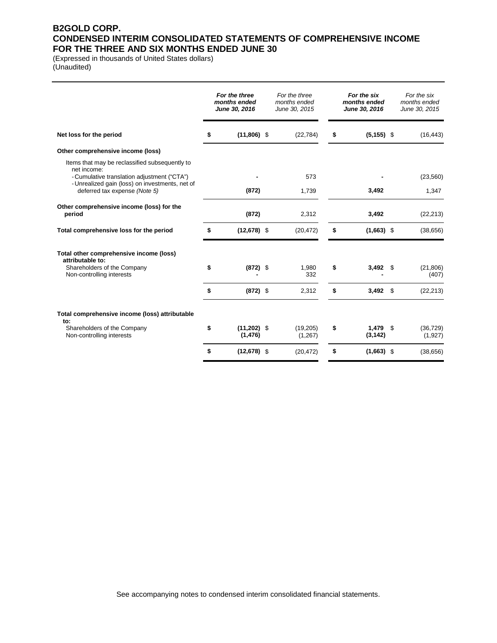### **B2GOLD CORP. CONDENSED INTERIM CONSOLIDATED STATEMENTS OF COMPREHENSIVE INCOME FOR THE THREE AND SIX MONTHS ENDED JUNE 30**

(Expressed in thousands of United States dollars) (Unaudited)

|                                                                                                | For the three<br>months ended<br>June 30, 2016 | For the three<br>months ended<br>June 30, 2015 | For the six<br>months ended<br>June 30, 2016 |      | For the six<br>months ended<br>June 30, 2015 |
|------------------------------------------------------------------------------------------------|------------------------------------------------|------------------------------------------------|----------------------------------------------|------|----------------------------------------------|
| Net loss for the period                                                                        | \$<br>$(11,806)$ \$                            | (22, 784)                                      | \$<br>$(5, 155)$ \$                          |      | (16, 443)                                    |
| Other comprehensive income (loss)                                                              |                                                |                                                |                                              |      |                                              |
| Items that may be reclassified subsequently to<br>net income:                                  |                                                |                                                |                                              |      |                                              |
| - Cumulative translation adjustment ("CTA")<br>- Unrealized gain (loss) on investments, net of |                                                | 573                                            |                                              |      | (23, 560)                                    |
| deferred tax expense (Note 5)                                                                  | (872)                                          | 1,739                                          | 3,492                                        |      | 1,347                                        |
| Other comprehensive income (loss) for the<br>period                                            | (872)                                          | 2,312                                          | 3,492                                        |      | (22, 213)                                    |
| Total comprehensive loss for the period                                                        | \$<br>$(12,678)$ \$                            | (20, 472)                                      | \$<br>$(1,663)$ \$                           |      | (38, 656)                                    |
| Total other comprehensive income (loss)<br>attributable to:                                    |                                                |                                                |                                              |      |                                              |
| Shareholders of the Company<br>Non-controlling interests                                       | \$<br>$(872)$ \$                               | 1,980<br>332                                   | \$<br>3,492                                  | - \$ | (21, 806)<br>(407)                           |
|                                                                                                | \$<br>$(872)$ \$                               | 2,312                                          | \$<br>$3,492$ \$                             |      | (22, 213)                                    |
| Total comprehensive income (loss) attributable                                                 |                                                |                                                |                                              |      |                                              |
| to:<br>Shareholders of the Company<br>Non-controlling interests                                | \$<br>$(11,202)$ \$<br>(1, 476)                | (19,205)<br>(1,267)                            | \$<br>$1,479$ \$<br>(3, 142)                 |      | (36, 729)<br>(1,927)                         |
|                                                                                                | \$<br>$(12,678)$ \$                            | (20, 472)                                      | \$<br>$(1,663)$ \$                           |      | (38,656)                                     |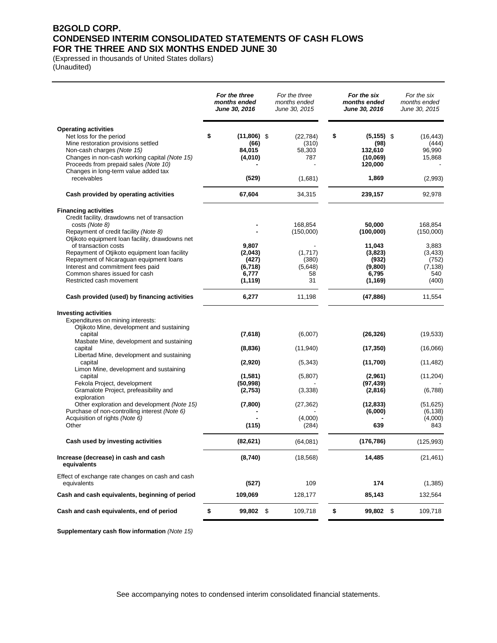### **B2GOLD CORP. CONDENSED INTERIM CONSOLIDATED STATEMENTS OF CASH FLOWS FOR THE THREE AND SIX MONTHS ENDED JUNE 30**

(Expressed in thousands of United States dollars) (Unaudited)

|                                                                                                                                                                                                                                                                                                                                                                                                                  | For the three<br>months ended<br>June 30, 2016            | For the three<br>months ended<br>June 30, 2015                  | For the six<br>months ended<br>June 30, 2016                                      | For the six<br>months ended<br>June 30, 2015                                   |
|------------------------------------------------------------------------------------------------------------------------------------------------------------------------------------------------------------------------------------------------------------------------------------------------------------------------------------------------------------------------------------------------------------------|-----------------------------------------------------------|-----------------------------------------------------------------|-----------------------------------------------------------------------------------|--------------------------------------------------------------------------------|
| <b>Operating activities</b><br>Net loss for the period<br>Mine restoration provisions settled<br>Non-cash charges (Note 15)<br>Changes in non-cash working capital (Note 15)<br>Proceeds from prepaid sales (Note 10)<br>Changes in long-term value added tax                                                                                                                                                    | \$<br>$(11,806)$ \$<br>(66)<br>84,015<br>(4,010)          | (22, 784)<br>(310)<br>58,303<br>787                             | \$<br>$(5, 155)$ \$<br>(98)<br>132,610<br>(10,069)<br>120,000                     | (16, 443)<br>(444)<br>96,990<br>15,868                                         |
| receivables                                                                                                                                                                                                                                                                                                                                                                                                      | (529)                                                     | (1,681)                                                         | 1.869                                                                             | (2,993)                                                                        |
| Cash provided by operating activities                                                                                                                                                                                                                                                                                                                                                                            | 67,604                                                    | 34,315                                                          | 239,157                                                                           | 92,978                                                                         |
| <b>Financing activities</b><br>Credit facility, drawdowns net of transaction<br>costs (Note 8)<br>Repayment of credit facility (Note 8)<br>Otjikoto equipment loan facility, drawdowns net<br>of transaction costs<br>Repayment of Otjikoto equipment loan facility<br>Repayment of Nicaraguan equipment loans<br>Interest and commitment fees paid<br>Common shares issued for cash<br>Restricted cash movement | 9,807<br>(2,043)<br>(427)<br>(6,718)<br>6,777<br>(1, 119) | 168,854<br>(150,000)<br>(1,717)<br>(380)<br>(5,648)<br>58<br>31 | 50,000<br>(100,000)<br>11,043<br>(3,823)<br>(932)<br>(9,800)<br>6,795<br>(1, 169) | 168,854<br>(150,000)<br>3,883<br>(3, 433)<br>(752)<br>(7, 138)<br>540<br>(400) |
| Cash provided (used) by financing activities                                                                                                                                                                                                                                                                                                                                                                     | 6,277                                                     | 11,198                                                          | (47, 886)                                                                         | 11,554                                                                         |
| <b>Investing activities</b><br>Expenditures on mining interests:<br>Otjikoto Mine, development and sustaining<br>capital                                                                                                                                                                                                                                                                                         | (7,618)                                                   | (6,007)                                                         | (26, 326)                                                                         | (19, 533)                                                                      |
| Masbate Mine, development and sustaining<br>capital                                                                                                                                                                                                                                                                                                                                                              | (8,836)                                                   | (11, 940)                                                       | (17, 350)                                                                         | (16,066)                                                                       |
| Libertad Mine, development and sustaining<br>capital<br>Limon Mine, development and sustaining                                                                                                                                                                                                                                                                                                                   | (2,920)                                                   | (5,343)                                                         | (11,700)                                                                          | (11, 482)                                                                      |
| capital<br>Fekola Project, development<br>Gramalote Project, prefeasibility and                                                                                                                                                                                                                                                                                                                                  | (1,581)<br>(50, 998)<br>(2,753)                           | (5,807)<br>(3,338)                                              | (2,961)<br>(97, 439)<br>(2,816)                                                   | (11, 204)<br>(6,788)                                                           |
| exploration<br>Other exploration and development (Note 15)<br>Purchase of non-controlling interest (Note 6)<br>Acquisition of rights (Note 6)<br>Other                                                                                                                                                                                                                                                           | (7,800)<br>(115)                                          | (27, 362)<br>(4,000)<br>(284)                                   | (12, 833)<br>(6,000)<br>639                                                       | (51, 625)<br>(6, 138)<br>(4,000)<br>843                                        |
| Cash used by investing activities                                                                                                                                                                                                                                                                                                                                                                                | (82, 621)                                                 | (64,081)                                                        | (176, 786)                                                                        | (125, 993)                                                                     |
| Increase (decrease) in cash and cash<br>equivalents                                                                                                                                                                                                                                                                                                                                                              | (8,740)                                                   | (18, 568)                                                       | 14,485                                                                            | (21, 461)                                                                      |
| Effect of exchange rate changes on cash and cash<br>equivalents                                                                                                                                                                                                                                                                                                                                                  | (527)                                                     | 109                                                             | 174                                                                               | (1,385)                                                                        |
| Cash and cash equivalents, beginning of period                                                                                                                                                                                                                                                                                                                                                                   | 109,069                                                   | 128,177                                                         | 85,143                                                                            | 132,564                                                                        |
| Cash and cash equivalents, end of period                                                                                                                                                                                                                                                                                                                                                                         | \$<br>99,802 \$                                           | 109,718                                                         | \$<br>99,802 \$                                                                   | 109,718                                                                        |

**Supplementary cash flow information** *(Note 15)*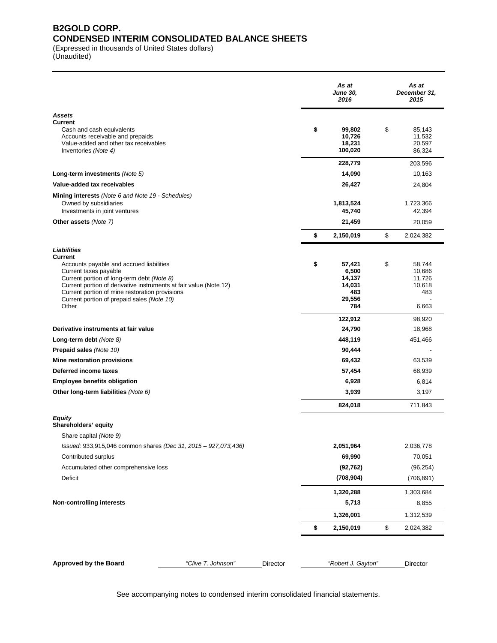### **B2GOLD CORP. CONDENSED INTERIM CONSOLIDATED BALANCE SHEETS**

(Expressed in thousands of United States dollars)

(Unaudited)

|                                                                                                                                                                                                 |          | As at<br><b>June 30,</b><br>2016      | As at<br>December 31,<br>2015              |
|-------------------------------------------------------------------------------------------------------------------------------------------------------------------------------------------------|----------|---------------------------------------|--------------------------------------------|
| <b>Assets</b>                                                                                                                                                                                   |          |                                       |                                            |
| <b>Current</b><br>Cash and cash equivalents<br>Accounts receivable and prepaids<br>Value-added and other tax receivables<br>Inventories (Note 4)                                                | \$       | 99,802<br>10,726<br>18,231<br>100,020 | \$<br>85,143<br>11,532<br>20,597<br>86,324 |
|                                                                                                                                                                                                 |          | 228,779                               | 203,596                                    |
| Long-term investments (Note 5)                                                                                                                                                                  |          | 14,090                                | 10,163                                     |
| Value-added tax receivables                                                                                                                                                                     |          | 26,427                                | 24,804                                     |
| Mining interests (Note 6 and Note 19 - Schedules)                                                                                                                                               |          |                                       |                                            |
| Owned by subsidiaries<br>Investments in joint ventures                                                                                                                                          |          | 1,813,524<br>45,740                   | 1,723,366<br>42,394                        |
| Other assets (Note 7)                                                                                                                                                                           |          | 21,459                                | 20,059                                     |
|                                                                                                                                                                                                 |          |                                       |                                            |
|                                                                                                                                                                                                 | \$       | 2,150,019                             | \$<br>2,024,382                            |
| Liabilities                                                                                                                                                                                     |          |                                       |                                            |
| Current<br>Accounts payable and accrued liabilities<br>Current taxes payable<br>Current portion of long-term debt (Note 8)<br>Current portion of derivative instruments at fair value (Note 12) | \$       | 57,421<br>6,500<br>14,137<br>14,031   | \$<br>58,744<br>10,686<br>11,726<br>10,618 |
| Current portion of mine restoration provisions<br>Current portion of prepaid sales (Note 10)<br>Other                                                                                           |          | 483<br>29,556<br>784                  | 483<br>6,663                               |
|                                                                                                                                                                                                 |          | 122,912                               | 98,920                                     |
| Derivative instruments at fair value                                                                                                                                                            |          | 24,790                                | 18,968                                     |
| Long-term debt (Note 8)                                                                                                                                                                         |          | 448,119                               | 451,466                                    |
| Prepaid sales (Note 10)                                                                                                                                                                         |          | 90,444                                |                                            |
| Mine restoration provisions                                                                                                                                                                     |          | 69,432                                | 63,539                                     |
| Deferred income taxes                                                                                                                                                                           |          | 57,454                                | 68,939                                     |
| <b>Employee benefits obligation</b>                                                                                                                                                             |          | 6,928                                 | 6,814                                      |
| Other long-term liabilities (Note 6)                                                                                                                                                            |          | 3,939                                 | 3,197                                      |
|                                                                                                                                                                                                 |          | 824,018                               | 711,843                                    |
| Equity<br>Shareholders' equity                                                                                                                                                                  |          |                                       |                                            |
| Share capital (Note 9)                                                                                                                                                                          |          |                                       |                                            |
| Issued: 933,915,046 common shares (Dec 31, 2015 - 927,073,436)                                                                                                                                  |          | 2,051,964                             | 2,036,778                                  |
| Contributed surplus                                                                                                                                                                             |          | 69,990                                | 70,051                                     |
| Accumulated other comprehensive loss                                                                                                                                                            |          | (92, 762)                             | (96, 254)                                  |
| Deficit                                                                                                                                                                                         |          | (708, 904)                            | (706, 891)                                 |
|                                                                                                                                                                                                 |          | 1,320,288                             | 1,303,684                                  |
| <b>Non-controlling interests</b>                                                                                                                                                                |          | 5,713                                 | 8,855                                      |
|                                                                                                                                                                                                 |          | 1,326,001                             | 1,312,539                                  |
|                                                                                                                                                                                                 | \$       | 2,150,019                             | \$<br>2,024,382                            |
|                                                                                                                                                                                                 |          |                                       |                                            |
| "Clive T. Johnson"<br>Approved by the Board                                                                                                                                                     | Director | "Robert J. Gayton"                    | Director                                   |

See accompanying notes to condensed interim consolidated financial statements.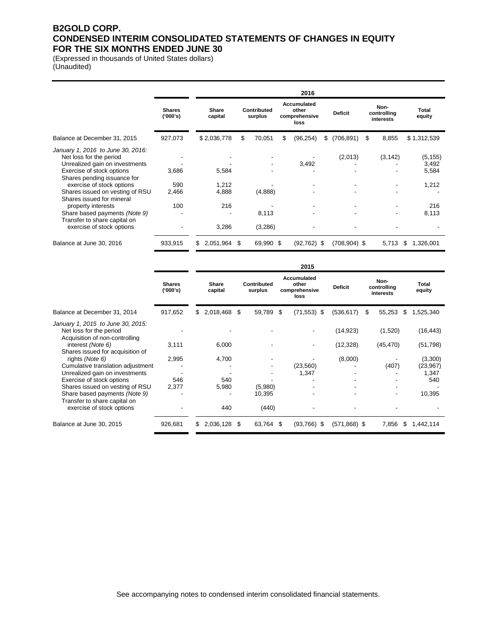### **B2GOLD CORP. CONDENSED INTERIM CONSOLIDATED STATEMENTS OF CHANGES IN EQUITY FOR THE SIX MONTHS ENDED JUNE 30**

(Expressed in thousands of United States dollars) (Unaudited)

|                                                                                                                             |                           | 2016                    |                        |   |                                               |                         |                                  |                            |  |  |
|-----------------------------------------------------------------------------------------------------------------------------|---------------------------|-------------------------|------------------------|---|-----------------------------------------------|-------------------------|----------------------------------|----------------------------|--|--|
|                                                                                                                             | <b>Shares</b><br>('000's) | <b>Share</b><br>capital | Contributed<br>surplus |   | Accumulated<br>other<br>comprehensive<br>loss | <b>Deficit</b>          | Non-<br>controlling<br>interests | Total<br>equity            |  |  |
| Balance at December 31, 2015                                                                                                | 927,073                   | \$2,036,778             | 70,051<br>\$           | S | (96, 254)                                     | (706, 891)<br>\$        | 8,855<br>- \$                    | \$1,312,539                |  |  |
| January 1, 2016 to June 30, 2016:<br>Net loss for the period<br>Unrealized gain on investments<br>Exercise of stock options | 3,686                     | 5,584                   |                        |   | 3,492                                         | (2,013)                 | (3, 142)                         | (5, 155)<br>3,492<br>5,584 |  |  |
| Shares pending issuance for<br>exercise of stock options<br>Shares issued on vesting of RSU<br>Shares issued for mineral    | 590<br>2.466              | 1.212<br>4,888          | (4,888)                |   |                                               |                         | $\overline{\phantom{a}}$         | 1,212                      |  |  |
| property interests<br>Share based payments (Note 9)<br>Transfer to share capital on                                         | 100                       | 216                     | 8,113                  |   |                                               |                         | $\blacksquare$<br>٠              | 216<br>8,113               |  |  |
| exercise of stock options                                                                                                   |                           | 3,286                   | (3,286)                |   |                                               |                         |                                  |                            |  |  |
| Balance at June 30, 2016                                                                                                    | 933,915                   | 2,051,964<br>S          | 69,990 \$<br>\$        |   | (92, 762)                                     | $(708, 904)$ \$<br>- \$ | 5,713                            | 1,326,001<br>S             |  |  |

|                                                                                                |                             | 2015 |                  |    |                        |   |                                               |                |   |                                  |  |                 |
|------------------------------------------------------------------------------------------------|-----------------------------|------|------------------|----|------------------------|---|-----------------------------------------------|----------------|---|----------------------------------|--|-----------------|
|                                                                                                | <b>Shares</b><br>$(000)$ s) |      | Share<br>capital |    | Contributed<br>surplus |   | Accumulated<br>other<br>comprehensive<br>loss | <b>Deficit</b> |   | Non-<br>controlling<br>interests |  | Total<br>equity |
| Balance at December 31, 2014                                                                   | 917,652                     | S.   | 2,018,468 \$     |    | 59,789                 | S | $(71,553)$ \$                                 | (536, 617)     | S | 55,253<br>\$                     |  | 1,525,340       |
| January 1, 2015 to June 30, 2015:<br>Net loss for the period<br>Acquisition of non-controlling |                             |      |                  |    |                        |   |                                               | (14, 923)      |   | (1,520)                          |  | (16, 443)       |
| interest (Note 6)<br>Shares issued for acquisition of                                          | 3,111                       |      | 6,000            |    |                        |   |                                               | (12, 328)      |   | (45, 470)                        |  | (51, 798)       |
| rights (Note 6)                                                                                | 2,995                       |      | 4,700            |    |                        |   |                                               | (8,000)        |   |                                  |  | (3,300)         |
| Cumulative translation adjustment                                                              |                             |      |                  |    |                        |   | (23, 560)                                     |                |   | (407)                            |  | (23, 967)       |
| Unrealized gain on investments                                                                 |                             |      |                  |    |                        |   | 1,347                                         |                |   |                                  |  | 1,347           |
| Exercise of stock options                                                                      | 546                         |      | 540              |    |                        |   |                                               |                |   |                                  |  | 540             |
| Shares issued on vesting of RSU                                                                | 2.377                       |      | 5,980            |    | (5,980)                |   |                                               |                |   |                                  |  |                 |
| Share based payments (Note 9)<br>Transfer to share capital on                                  |                             |      |                  |    | 10.395                 |   |                                               |                |   | $\overline{\phantom{0}}$         |  | 10,395          |
| exercise of stock options                                                                      |                             |      | 440              |    | (440)                  |   |                                               |                |   |                                  |  |                 |
| Balance at June 30, 2015                                                                       | 926,681                     | S    | 2,036,128        | \$ | 63,764                 | S | (93,766)<br>- \$                              | $(571,868)$ \$ |   | 7,856<br>S                       |  | 1,442,114       |

See accompanying notes to condensed interim consolidated financial statements.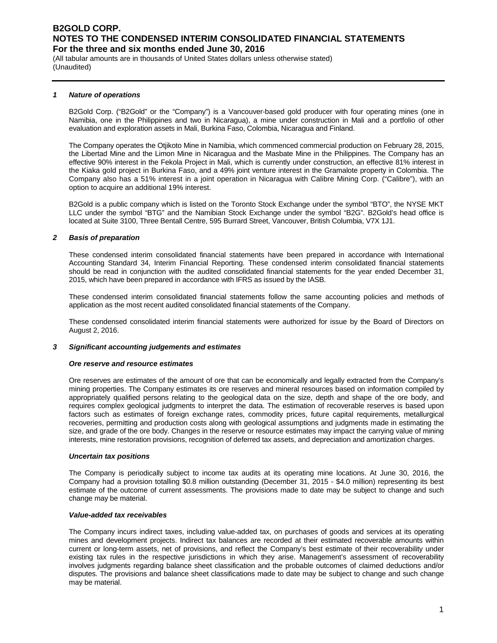(All tabular amounts are in thousands of United States dollars unless otherwise stated) (Unaudited)

#### *1 Nature of operations*

B2Gold Corp. ("B2Gold" or the "Company") is a Vancouver-based gold producer with four operating mines (one in Namibia, one in the Philippines and two in Nicaragua), a mine under construction in Mali and a portfolio of other evaluation and exploration assets in Mali, Burkina Faso, Colombia, Nicaragua and Finland.

The Company operates the Otjikoto Mine in Namibia, which commenced commercial production on February 28, 2015, the Libertad Mine and the Limon Mine in Nicaragua and the Masbate Mine in the Philippines. The Company has an effective 90% interest in the Fekola Project in Mali, which is currently under construction, an effective 81% interest in the Kiaka gold project in Burkina Faso, and a 49% joint venture interest in the Gramalote property in Colombia. The Company also has a 51% interest in a joint operation in Nicaragua with Calibre Mining Corp. ("Calibre"), with an option to acquire an additional 19% interest.

B2Gold is a public company which is listed on the Toronto Stock Exchange under the symbol "BTO", the NYSE MKT LLC under the symbol "BTG" and the Namibian Stock Exchange under the symbol "B2G". B2Gold's head office is located at Suite 3100, Three Bentall Centre, 595 Burrard Street, Vancouver, British Columbia, V7X 1J1.

#### *2 Basis of preparation*

These condensed interim consolidated financial statements have been prepared in accordance with International Accounting Standard 34, Interim Financial Reporting. These condensed interim consolidated financial statements should be read in conjunction with the audited consolidated financial statements for the year ended December 31, 2015, which have been prepared in accordance with IFRS as issued by the IASB.

These condensed interim consolidated financial statements follow the same accounting policies and methods of application as the most recent audited consolidated financial statements of the Company.

These condensed consolidated interim financial statements were authorized for issue by the Board of Directors on August 2, 2016.

#### *3 Significant accounting judgements and estimates*

#### *Ore reserve and resource estimates*

Ore reserves are estimates of the amount of ore that can be economically and legally extracted from the Company's mining properties. The Company estimates its ore reserves and mineral resources based on information compiled by appropriately qualified persons relating to the geological data on the size, depth and shape of the ore body, and requires complex geological judgments to interpret the data. The estimation of recoverable reserves is based upon factors such as estimates of foreign exchange rates, commodity prices, future capital requirements, metallurgical recoveries, permitting and production costs along with geological assumptions and judgments made in estimating the size, and grade of the ore body. Changes in the reserve or resource estimates may impact the carrying value of mining interests, mine restoration provisions, recognition of deferred tax assets, and depreciation and amortization charges.

#### *Uncertain tax positions*

The Company is periodically subject to income tax audits at its operating mine locations. At June 30, 2016, the Company had a provision totalling \$0.8 million outstanding (December 31, 2015 - \$4.0 million) representing its best estimate of the outcome of current assessments. The provisions made to date may be subject to change and such change may be material.

#### *Value-added tax receivables*

The Company incurs indirect taxes, including value-added tax, on purchases of goods and services at its operating mines and development projects. Indirect tax balances are recorded at their estimated recoverable amounts within current or long-term assets, net of provisions, and reflect the Company's best estimate of their recoverability under existing tax rules in the respective jurisdictions in which they arise. Management's assessment of recoverability involves judgments regarding balance sheet classification and the probable outcomes of claimed deductions and/or disputes. The provisions and balance sheet classifications made to date may be subject to change and such change may be material.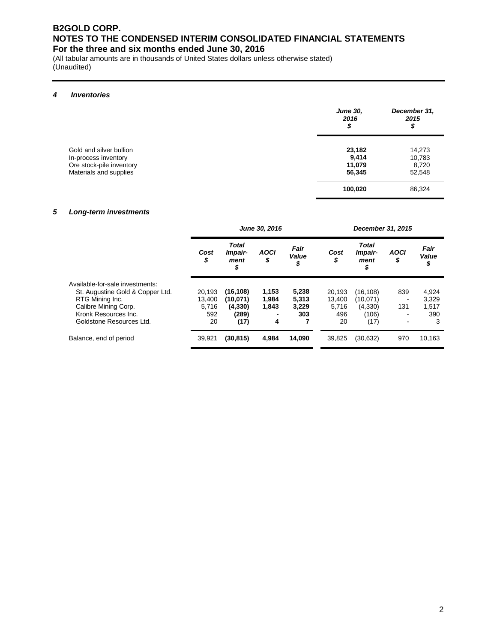(All tabular amounts are in thousands of United States dollars unless otherwise stated) (Unaudited)

#### *4 Inventories*

|                                                                                                       | <b>June 30,</b><br>2016<br>\$       | December 31,<br>2015<br>\$          |
|-------------------------------------------------------------------------------------------------------|-------------------------------------|-------------------------------------|
| Gold and silver bullion<br>In-process inventory<br>Ore stock-pile inventory<br>Materials and supplies | 23,182<br>9,414<br>11,079<br>56,345 | 14,273<br>10,783<br>8,720<br>52,548 |
|                                                                                                       | 100,020                             | 86,324                              |

#### *5 Long-term investments*

|                                  |            |                                | June 30, 2016     |                     | December 31, 2015 |                                       |                          |                     |  |  |
|----------------------------------|------------|--------------------------------|-------------------|---------------------|-------------------|---------------------------------------|--------------------------|---------------------|--|--|
|                                  | Cost<br>\$ | Total<br>Impair-<br>ment<br>\$ | <b>AOCI</b><br>\$ | Fair<br>Value<br>\$ | Cost<br>\$        | <b>Total</b><br>Impair-<br>ment<br>\$ | <b>AOCI</b><br>\$        | Fair<br>Value<br>\$ |  |  |
| Available-for-sale investments:  |            |                                |                   |                     |                   |                                       |                          |                     |  |  |
| St. Augustine Gold & Copper Ltd. | 20.193     | (16, 108)                      | 1,153             | 5,238               | 20.193            | (16, 108)                             | 839                      | 4,924               |  |  |
| RTG Mining Inc.                  | 13.400     | (10,071)                       | 1,984             | 5,313               | 13.400            | (10,071)                              | $\overline{\phantom{a}}$ | 3.329               |  |  |
| Calibre Mining Corp.             | 5.716      | (4, 330)                       | 1,843             | 3,229               | 5,716             | (4,330)                               | 131                      | 1,517               |  |  |
| Kronk Resources Inc.             | 592        | (289)                          |                   | 303                 | 496               | (106)                                 | ۰                        | 390                 |  |  |
| Goldstone Resources Ltd.         | 20         | (17)                           | 4                 |                     | 20                | (17)                                  | ۰                        | 3                   |  |  |
| Balance, end of period           | 39,921     | (30, 815)                      | 4,984             | 14,090              | 39,825            | (30, 632)                             | 970                      | 10,163              |  |  |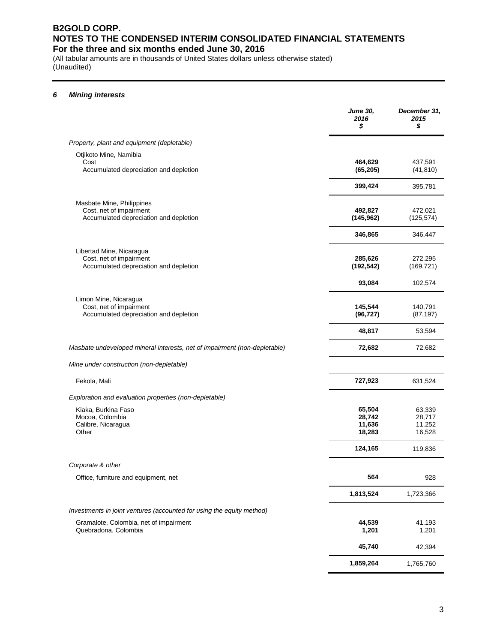(All tabular amounts are in thousands of United States dollars unless otherwise stated) (Unaudited)

### *6 Mining interests*

|                                                                                                | <b>June 30,</b><br>2016<br>\$        | December 31,<br>2015<br>\$           |
|------------------------------------------------------------------------------------------------|--------------------------------------|--------------------------------------|
| Property, plant and equipment (depletable)                                                     |                                      |                                      |
| Otjikoto Mine, Namibia<br>Cost<br>Accumulated depreciation and depletion                       | 464,629<br>(65, 205)                 | 437,591<br>(41, 810)                 |
|                                                                                                | 399,424                              | 395,781                              |
| Masbate Mine, Philippines<br>Cost, net of impairment<br>Accumulated depreciation and depletion | 492,827<br>(145, 962)                | 472,021<br>(125, 574)                |
|                                                                                                | 346,865                              | 346,447                              |
| Libertad Mine, Nicaragua<br>Cost, net of impairment<br>Accumulated depreciation and depletion  | 285,626<br>(192, 542)                | 272,295<br>(169, 721)                |
|                                                                                                | 93,084                               | 102,574                              |
| Limon Mine, Nicaragua<br>Cost, net of impairment<br>Accumulated depreciation and depletion     | 145,544<br>(96, 727)                 | 140,791<br>(87, 197)                 |
|                                                                                                | 48,817                               | 53,594                               |
| Masbate undeveloped mineral interests, net of impairment (non-depletable)                      | 72,682                               | 72,682                               |
| Mine under construction (non-depletable)                                                       |                                      |                                      |
| Fekola, Mali                                                                                   | 727,923                              | 631,524                              |
| Exploration and evaluation properties (non-depletable)                                         |                                      |                                      |
| Kiaka, Burkina Faso<br>Mocoa, Colombia<br>Calibre, Nicaragua<br>Other                          | 65,504<br>28,742<br>11,636<br>18,283 | 63,339<br>28,717<br>11,252<br>16,528 |
|                                                                                                | 124,165                              | 119,836                              |
| Corporate & other                                                                              |                                      |                                      |
| Office, furniture and equipment, net                                                           | 564                                  | 928                                  |
|                                                                                                | 1,813,524                            | 1,723,366                            |
| Investments in joint ventures (accounted for using the equity method)                          |                                      |                                      |
| Gramalote, Colombia, net of impairment<br>Quebradona, Colombia                                 | 44,539<br>1,201                      | 41,193<br>1,201                      |
|                                                                                                | 45,740                               | 42,394                               |
|                                                                                                | 1,859,264                            | 1,765,760                            |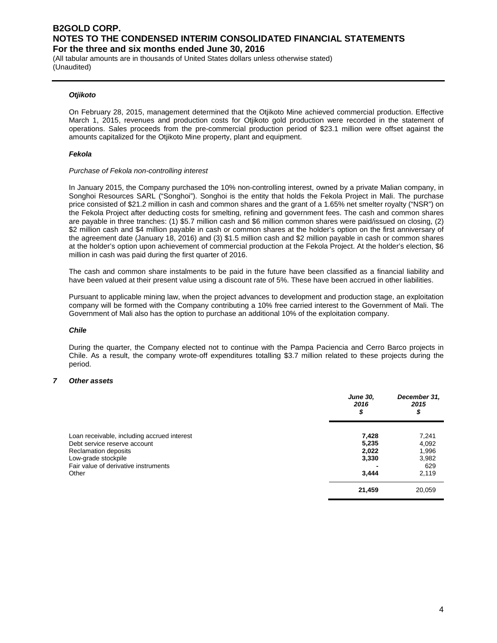(All tabular amounts are in thousands of United States dollars unless otherwise stated) (Unaudited)

#### *Otjikoto*

On February 28, 2015, management determined that the Otjikoto Mine achieved commercial production. Effective March 1, 2015, revenues and production costs for Otjikoto gold production were recorded in the statement of operations. Sales proceeds from the pre-commercial production period of \$23.1 million were offset against the amounts capitalized for the Otjikoto Mine property, plant and equipment.

#### *Fekola*

#### *Purchase of Fekola non-controlling interest*

In January 2015, the Company purchased the 10% non-controlling interest, owned by a private Malian company, in Songhoi Resources SARL ("Songhoi"). Songhoi is the entity that holds the Fekola Project in Mali. The purchase price consisted of \$21.2 million in cash and common shares and the grant of a 1.65% net smelter royalty ("NSR") on the Fekola Project after deducting costs for smelting, refining and government fees. The cash and common shares are payable in three tranches: (1) \$5.7 million cash and \$6 million common shares were paid/issued on closing, (2) \$2 million cash and \$4 million payable in cash or common shares at the holder's option on the first anniversary of the agreement date (January 18, 2016) and (3) \$1.5 million cash and \$2 million payable in cash or common shares at the holder's option upon achievement of commercial production at the Fekola Project. At the holder's election, \$6 million in cash was paid during the first quarter of 2016.

The cash and common share instalments to be paid in the future have been classified as a financial liability and have been valued at their present value using a discount rate of 5%. These have been accrued in other liabilities.

Pursuant to applicable mining law, when the project advances to development and production stage, an exploitation company will be formed with the Company contributing a 10% free carried interest to the Government of Mali. The Government of Mali also has the option to purchase an additional 10% of the exploitation company.

#### *Chile*

During the quarter, the Company elected not to continue with the Pampa Paciencia and Cerro Barco projects in Chile. As a result, the company wrote-off expenditures totalling \$3.7 million related to these projects during the period.

#### *7 Other assets*

|                                                                             | <b>June 30,</b><br>2016<br>\$ | December 31,<br>2015<br>\$ |
|-----------------------------------------------------------------------------|-------------------------------|----------------------------|
| Loan receivable, including accrued interest<br>Debt service reserve account | 7,428<br>5,235                | 7,241<br>4,092             |
| Reclamation deposits<br>Low-grade stockpile                                 | 2,022<br>3,330                | 1,996<br>3,982             |
| Fair value of derivative instruments<br>Other                               | 3,444                         | 629<br>2,119               |
|                                                                             | 21,459                        | 20,059                     |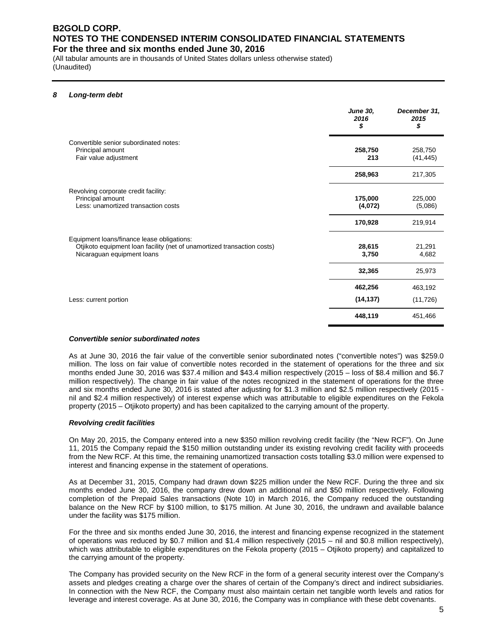(All tabular amounts are in thousands of United States dollars unless otherwise stated) (Unaudited)

#### *8 Long-term debt*

|                                                                                                                                                     | <b>June 30,</b><br>2016<br>\$ | December 31,<br>2015<br>\$ |
|-----------------------------------------------------------------------------------------------------------------------------------------------------|-------------------------------|----------------------------|
| Convertible senior subordinated notes:<br>Principal amount<br>Fair value adjustment                                                                 | 258,750<br>213                | 258,750<br>(41, 445)       |
|                                                                                                                                                     | 258,963                       | 217,305                    |
| Revolving corporate credit facility:<br>Principal amount<br>Less: unamortized transaction costs                                                     | 175,000<br>(4,072)            | 225,000<br>(5,086)         |
|                                                                                                                                                     | 170,928                       | 219,914                    |
| Equipment loans/finance lease obligations:<br>Otjikoto equipment loan facility (net of unamortized transaction costs)<br>Nicaraguan equipment loans | 28,615<br>3,750               | 21,291<br>4,682            |
|                                                                                                                                                     | 32,365                        | 25,973                     |
| Less: current portion                                                                                                                               | 462,256<br>(14, 137)          | 463,192<br>(11, 726)       |
|                                                                                                                                                     | 448,119                       | 451,466                    |

#### *Convertible senior subordinated notes*

As at June 30, 2016 the fair value of the convertible senior subordinated notes ("convertible notes") was \$259.0 million. The loss on fair value of convertible notes recorded in the statement of operations for the three and six months ended June 30, 2016 was \$37.4 million and \$43.4 million respectively (2015 – loss of \$8.4 million and \$6.7 million respectively). The change in fair value of the notes recognized in the statement of operations for the three and six months ended June 30, 2016 is stated after adjusting for \$1.3 million and \$2.5 million respectively (2015 nil and \$2.4 million respectively) of interest expense which was attributable to eligible expenditures on the Fekola property (2015 – Otjikoto property) and has been capitalized to the carrying amount of the property.

#### *Revolving credit facilities*

On May 20, 2015, the Company entered into a new \$350 million revolving credit facility (the "New RCF"). On June 11, 2015 the Company repaid the \$150 million outstanding under its existing revolving credit facility with proceeds from the New RCF. At this time, the remaining unamortized transaction costs totalling \$3.0 million were expensed to interest and financing expense in the statement of operations.

As at December 31, 2015, Company had drawn down \$225 million under the New RCF. During the three and six months ended June 30, 2016, the company drew down an additional nil and \$50 million respectively. Following completion of the Prepaid Sales transactions (Note 10) in March 2016, the Company reduced the outstanding balance on the New RCF by \$100 million, to \$175 million. At June 30, 2016, the undrawn and available balance under the facility was \$175 million.

For the three and six months ended June 30, 2016, the interest and financing expense recognized in the statement of operations was reduced by \$0.7 million and \$1.4 million respectively (2015 – nil and \$0.8 million respectively), which was attributable to eligible expenditures on the Fekola property (2015 – Otjikoto property) and capitalized to the carrying amount of the property.

The Company has provided security on the New RCF in the form of a general security interest over the Company's assets and pledges creating a charge over the shares of certain of the Company's direct and indirect subsidiaries. In connection with the New RCF, the Company must also maintain certain net tangible worth levels and ratios for leverage and interest coverage. As at June 30, 2016, the Company was in compliance with these debt covenants.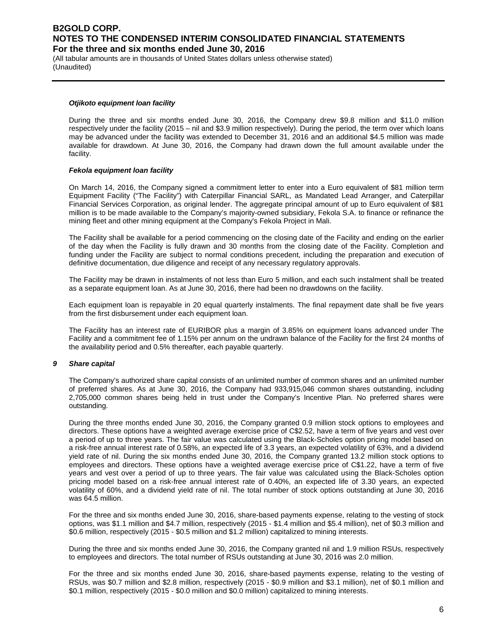(All tabular amounts are in thousands of United States dollars unless otherwise stated) (Unaudited)

#### *Otjikoto equipment loan facility*

During the three and six months ended June 30, 2016, the Company drew \$9.8 million and \$11.0 million respectively under the facility (2015 – nil and \$3.9 million respectively). During the period, the term over which loans may be advanced under the facility was extended to December 31, 2016 and an additional \$4.5 million was made available for drawdown. At June 30, 2016, the Company had drawn down the full amount available under the facility.

#### *Fekola equipment loan facility*

On March 14, 2016, the Company signed a commitment letter to enter into a Euro equivalent of \$81 million term Equipment Facility ("The Facility") with Caterpillar Financial SARL, as Mandated Lead Arranger, and Caterpillar Financial Services Corporation, as original lender. The aggregate principal amount of up to Euro equivalent of \$81 million is to be made available to the Company's majority-owned subsidiary, Fekola S.A. to finance or refinance the mining fleet and other mining equipment at the Company's Fekola Project in Mali.

The Facility shall be available for a period commencing on the closing date of the Facility and ending on the earlier of the day when the Facility is fully drawn and 30 months from the closing date of the Facility. Completion and funding under the Facility are subject to normal conditions precedent, including the preparation and execution of definitive documentation, due diligence and receipt of any necessary regulatory approvals.

The Facility may be drawn in instalments of not less than Euro 5 million, and each such instalment shall be treated as a separate equipment loan. As at June 30, 2016, there had been no drawdowns on the facility.

Each equipment loan is repayable in 20 equal quarterly instalments. The final repayment date shall be five years from the first disbursement under each equipment loan.

The Facility has an interest rate of EURIBOR plus a margin of 3.85% on equipment loans advanced under The Facility and a commitment fee of 1.15% per annum on the undrawn balance of the Facility for the first 24 months of the availability period and 0.5% thereafter, each payable quarterly.

#### *9 Share capital*

The Company's authorized share capital consists of an unlimited number of common shares and an unlimited number of preferred shares. As at June 30, 2016, the Company had 933,915,046 common shares outstanding, including 2,705,000 common shares being held in trust under the Company's Incentive Plan. No preferred shares were outstanding.

During the three months ended June 30, 2016, the Company granted 0.9 million stock options to employees and directors. These options have a weighted average exercise price of C\$2.52, have a term of five years and vest over a period of up to three years. The fair value was calculated using the Black-Scholes option pricing model based on a risk-free annual interest rate of 0.58%, an expected life of 3.3 years, an expected volatility of 63%, and a dividend yield rate of nil. During the six months ended June 30, 2016, the Company granted 13.2 million stock options to employees and directors. These options have a weighted average exercise price of C\$1.22, have a term of five years and vest over a period of up to three years. The fair value was calculated using the Black-Scholes option pricing model based on a risk-free annual interest rate of 0.40%, an expected life of 3.30 years, an expected volatility of 60%, and a dividend yield rate of nil. The total number of stock options outstanding at June 30, 2016 was 64.5 million.

For the three and six months ended June 30, 2016, share-based payments expense, relating to the vesting of stock options, was \$1.1 million and \$4.7 million, respectively (2015 - \$1.4 million and \$5.4 million), net of \$0.3 million and \$0.6 million, respectively (2015 - \$0.5 million and \$1.2 million) capitalized to mining interests.

During the three and six months ended June 30, 2016, the Company granted nil and 1.9 million RSUs, respectively to employees and directors. The total number of RSUs outstanding at June 30, 2016 was 2.0 million.

For the three and six months ended June 30, 2016, share-based payments expense, relating to the vesting of RSUs, was \$0.7 million and \$2.8 million, respectively (2015 - \$0.9 million and \$3.1 million), net of \$0.1 million and \$0.1 million, respectively (2015 - \$0.0 million and \$0.0 million) capitalized to mining interests.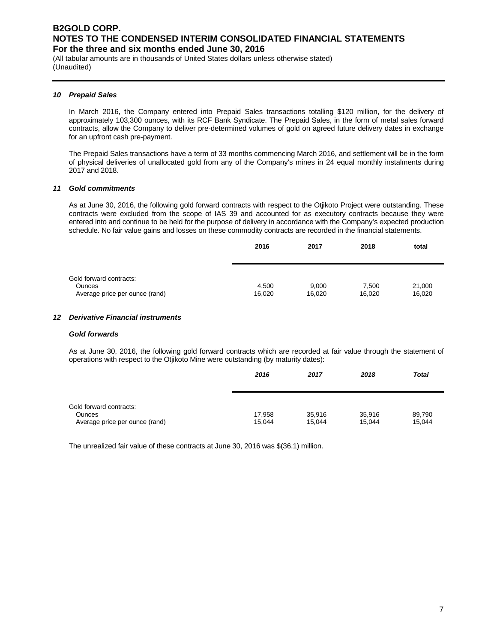(All tabular amounts are in thousands of United States dollars unless otherwise stated) (Unaudited)

#### *10 Prepaid Sales*

In March 2016, the Company entered into Prepaid Sales transactions totalling \$120 million, for the delivery of approximately 103,300 ounces, with its RCF Bank Syndicate. The Prepaid Sales, in the form of metal sales forward contracts, allow the Company to deliver pre-determined volumes of gold on agreed future delivery dates in exchange for an upfront cash pre-payment.

The Prepaid Sales transactions have a term of 33 months commencing March 2016, and settlement will be in the form of physical deliveries of unallocated gold from any of the Company's mines in 24 equal monthly instalments during 2017 and 2018.

#### *11 Gold commitments*

As at June 30, 2016, the following gold forward contracts with respect to the Otjikoto Project were outstanding. These contracts were excluded from the scope of IAS 39 and accounted for as executory contracts because they were entered into and continue to be held for the purpose of delivery in accordance with the Company's expected production schedule. No fair value gains and losses on these commodity contracts are recorded in the financial statements.

| 2016   | 2017   | 2018   | total  |
|--------|--------|--------|--------|
|        |        |        |        |
|        |        |        |        |
|        |        |        |        |
| 4.500  | 9,000  | 7.500  | 21,000 |
| 16.020 | 16,020 | 16.020 | 16,020 |
|        |        |        |        |

#### *12 Derivative Financial instruments*

#### *Gold forwards*

As at June 30, 2016, the following gold forward contracts which are recorded at fair value through the statement of operations with respect to the Otjikoto Mine were outstanding (by maturity dates):

|                                | 2016   | 2017   | 2018   | <b>Total</b> |
|--------------------------------|--------|--------|--------|--------------|
|                                |        |        |        |              |
| Gold forward contracts:        |        |        |        |              |
| <b>Ounces</b>                  | 17,958 | 35,916 | 35,916 | 89,790       |
| Average price per ounce (rand) | 15,044 | 15.044 | 15.044 | 15,044       |

The unrealized fair value of these contracts at June 30, 2016 was \$(36.1) million.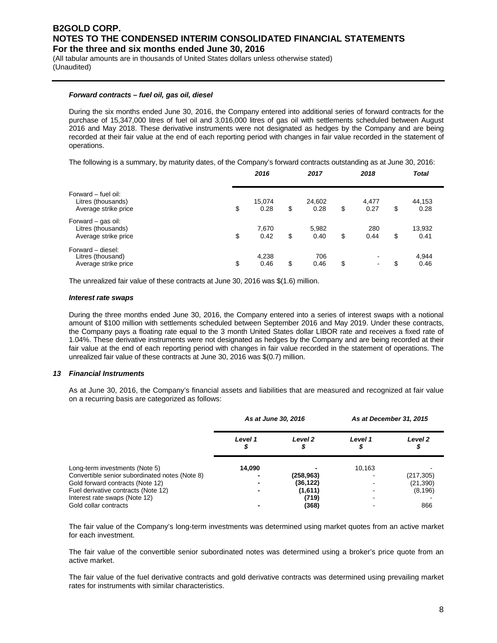(All tabular amounts are in thousands of United States dollars unless otherwise stated) (Unaudited)

#### *Forward contracts – fuel oil, gas oil, diesel*

During the six months ended June 30, 2016, the Company entered into additional series of forward contracts for the purchase of 15,347,000 litres of fuel oil and 3,016,000 litres of gas oil with settlements scheduled between August 2016 and May 2018. These derivative instruments were not designated as hedges by the Company and are being recorded at their fair value at the end of each reporting period with changes in fair value recorded in the statement of operations.

The following is a summary, by maturity dates, of the Company's forward contracts outstanding as at June 30, 2016:

|                                                                   | 2016                 | 2017                 | 2018                                   | <b>Total</b>         |  |
|-------------------------------------------------------------------|----------------------|----------------------|----------------------------------------|----------------------|--|
| Forward – fuel oil:<br>Litres (thousands)<br>Average strike price | \$<br>15,074<br>0.28 | \$<br>24,602<br>0.28 | \$<br>4,477<br>0.27                    | \$<br>44,153<br>0.28 |  |
| Forward - gas oil:<br>Litres (thousands)<br>Average strike price  | \$<br>7,670<br>0.42  | \$<br>5,982<br>0.40  | \$<br>280<br>0.44                      | \$<br>13,932<br>0.41 |  |
| Forward - diesel:<br>Litres (thousand)<br>Average strike price    | \$<br>4,238<br>0.46  | \$<br>706<br>0.46    | \$<br>$\blacksquare$<br>$\blacksquare$ | \$<br>4,944<br>0.46  |  |

The unrealized fair value of these contracts at June 30, 2016 was \$(1.6) million.

#### *Interest rate swaps*

During the three months ended June 30, 2016, the Company entered into a series of interest swaps with a notional amount of \$100 million with settlements scheduled between September 2016 and May 2019. Under these contracts, the Company pays a floating rate equal to the 3 month United States dollar LIBOR rate and receives a fixed rate of 1.04%. These derivative instruments were not designated as hedges by the Company and are being recorded at their fair value at the end of each reporting period with changes in fair value recorded in the statement of operations. The unrealized fair value of these contracts at June 30, 2016 was \$(0.7) million.

#### *13 Financial Instruments*

As at June 30, 2016, the Company's financial assets and liabilities that are measured and recognized at fair value on a recurring basis are categorized as follows:

|                                                | As at June 30, 2016 |           | As at December 31, 2015 |            |  |
|------------------------------------------------|---------------------|-----------|-------------------------|------------|--|
|                                                | Level 1             | Level 2   | Level 1                 | Level 2    |  |
| Long-term investments (Note 5)                 | 14.090              |           | 10,163                  |            |  |
| Convertible senior subordinated notes (Note 8) |                     | (258,963) |                         | (217, 305) |  |
| Gold forward contracts (Note 12)               |                     | (36, 122) |                         | (21, 390)  |  |
| Fuel derivative contracts (Note 12)            |                     | (1,611)   |                         | (8, 196)   |  |
| Interest rate swaps (Note 12)                  |                     | (719)     |                         |            |  |
| Gold collar contracts                          |                     | (368)     |                         | 866        |  |

The fair value of the Company's long-term investments was determined using market quotes from an active market for each investment.

The fair value of the convertible senior subordinated notes was determined using a broker's price quote from an active market.

The fair value of the fuel derivative contracts and gold derivative contracts was determined using prevailing market rates for instruments with similar characteristics.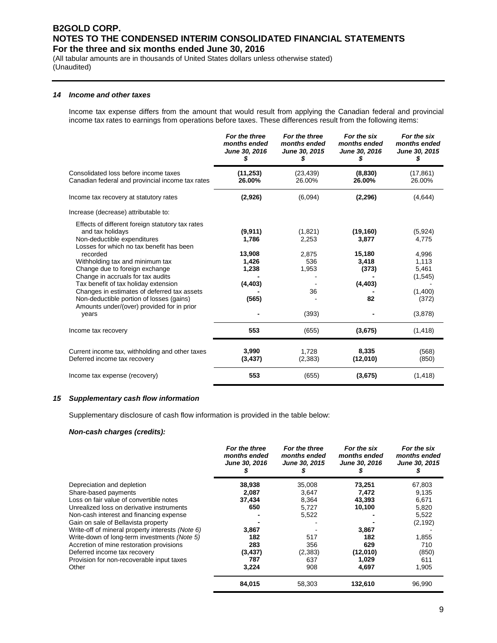(All tabular amounts are in thousands of United States dollars unless otherwise stated) (Unaudited)

#### *14 Income and other taxes*

Income tax expense differs from the amount that would result from applying the Canadian federal and provincial income tax rates to earnings from operations before taxes. These differences result from the following items:

|                                                                                                                                                                                                                                                                                                                                                                                                                                                                 | For the three<br>months ended<br>June 30, 2016<br>S               | For the three<br>months ended<br>June 30, 2015<br>S      | For the six<br>months ended<br>June 30, 2016<br>\$               | For the six<br>months ended<br>June 30, 2015<br>\$                                    |
|-----------------------------------------------------------------------------------------------------------------------------------------------------------------------------------------------------------------------------------------------------------------------------------------------------------------------------------------------------------------------------------------------------------------------------------------------------------------|-------------------------------------------------------------------|----------------------------------------------------------|------------------------------------------------------------------|---------------------------------------------------------------------------------------|
| Consolidated loss before income taxes<br>Canadian federal and provincial income tax rates                                                                                                                                                                                                                                                                                                                                                                       | (11, 253)<br>26.00%                                               | (23, 439)<br>26.00%                                      | (8,830)<br>26.00%                                                | (17, 861)<br>26.00%                                                                   |
| Income tax recovery at statutory rates                                                                                                                                                                                                                                                                                                                                                                                                                          | (2,926)                                                           | (6,094)                                                  | (2, 296)                                                         | (4,644)                                                                               |
| Increase (decrease) attributable to:                                                                                                                                                                                                                                                                                                                                                                                                                            |                                                                   |                                                          |                                                                  |                                                                                       |
| Effects of different foreign statutory tax rates<br>and tax holidays<br>Non-deductible expenditures<br>Losses for which no tax benefit has been<br>recorded<br>Withholding tax and minimum tax<br>Change due to foreign exchange<br>Change in accruals for tax audits<br>Tax benefit of tax holiday extension<br>Changes in estimates of deferred tax assets<br>Non-deductible portion of losses (gains)<br>Amounts under/(over) provided for in prior<br>years | (9,911)<br>1,786<br>13,908<br>1,426<br>1,238<br>(4, 403)<br>(565) | (1,821)<br>2,253<br>2,875<br>536<br>1,953<br>36<br>(393) | (19, 160)<br>3,877<br>15,180<br>3,418<br>(373)<br>(4, 403)<br>82 | (5,924)<br>4,775<br>4,996<br>1,113<br>5,461<br>(1,545)<br>(1,400)<br>(372)<br>(3,878) |
| Income tax recovery                                                                                                                                                                                                                                                                                                                                                                                                                                             | 553                                                               | (655)                                                    | (3,675)                                                          | (1, 418)                                                                              |
| Current income tax, withholding and other taxes<br>Deferred income tax recovery                                                                                                                                                                                                                                                                                                                                                                                 | 3,990<br>(3, 437)                                                 | 1.728<br>(2,383)                                         | 8,335<br>(12,010)                                                | (568)<br>(850)                                                                        |
| Income tax expense (recovery)                                                                                                                                                                                                                                                                                                                                                                                                                                   | 553                                                               | (655)                                                    | (3,675)                                                          | (1, 418)                                                                              |

#### *15 Supplementary cash flow information*

Supplementary disclosure of cash flow information is provided in the table below:

#### *Non-cash charges (credits):*

|                                                  | For the three<br>months ended<br>June 30, 2016 | For the three<br>months ended<br>June 30, 2015 | For the six<br>months ended<br>June 30, 2016 | For the six<br>months ended<br>June 30, 2015 |
|--------------------------------------------------|------------------------------------------------|------------------------------------------------|----------------------------------------------|----------------------------------------------|
| Depreciation and depletion                       | 38,938                                         | 35,008                                         | 73,251                                       | 67,803                                       |
| Share-based payments                             | 2,087                                          | 3,647                                          | 7,472                                        | 9,135                                        |
| Loss on fair value of convertible notes          | 37,434                                         | 8,364                                          | 43,393                                       | 6,671                                        |
| Unrealized loss on derivative instruments        | 650                                            | 5,727                                          | 10,100                                       | 5,820                                        |
| Non-cash interest and financing expense          |                                                | 5,522                                          |                                              | 5,522                                        |
| Gain on sale of Bellavista property              |                                                |                                                |                                              | (2, 192)                                     |
| Write-off of mineral property interests (Note 6) | 3,867                                          |                                                | 3,867                                        |                                              |
| Write-down of long-term investments (Note 5)     | 182                                            | 517                                            | 182                                          | 1,855                                        |
| Accretion of mine restoration provisions         | 283                                            | 356                                            | 629                                          | 710                                          |
| Deferred income tax recovery                     | (3, 437)                                       | (2, 383)                                       | (12,010)                                     | (850)                                        |
| Provision for non-recoverable input taxes        | 787                                            | 637                                            | 1,029                                        | 611                                          |
| Other                                            | 3,224                                          | 908                                            | 4,697                                        | 1,905                                        |
|                                                  | 84,015                                         | 58,303                                         | 132,610                                      | 96,990                                       |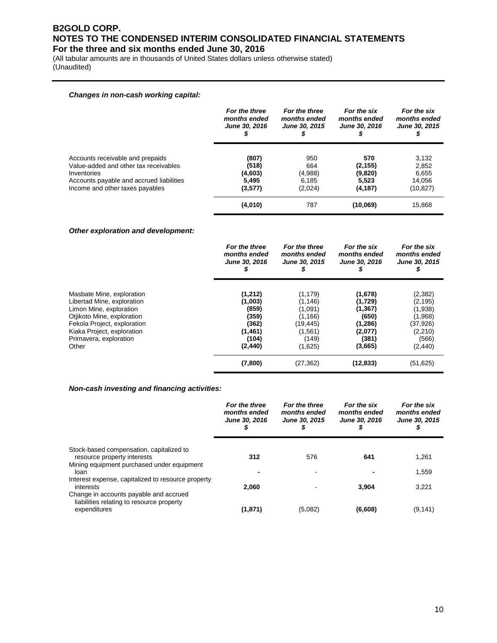(All tabular amounts are in thousands of United States dollars unless otherwise stated) (Unaudited)

#### *Changes in non-cash working capital:*

|                                                                           | For the three<br>months ended<br>June 30, 2016 | For the three<br>months ended<br>June 30, 2015 | For the six<br>months ended<br>June 30, 2016 | For the six<br>months ended<br><b>June 30, 2015</b> |
|---------------------------------------------------------------------------|------------------------------------------------|------------------------------------------------|----------------------------------------------|-----------------------------------------------------|
| Accounts receivable and prepaids<br>Value-added and other tax receivables | (807)<br>(518)                                 | 950<br>664                                     | 570<br>(2, 155)                              | 3,132<br>2,852                                      |
| Inventories                                                               | (4,603)                                        | (4,988)                                        | (9,820)                                      | 6.655                                               |
| Accounts payable and accrued liabilities                                  | 5.495                                          | 6.185                                          | 5.523                                        | 14.056                                              |
| Income and other taxes payables                                           | (3,577)                                        | (2,024)                                        | (4, 187)                                     | (10, 827)                                           |
|                                                                           | (4,010)                                        | 787                                            | (10,069)                                     | 15.868                                              |

#### *Other exploration and development:*

|                             | For the three<br>months ended<br>June 30, 2016 | For the three<br>months ended<br>June 30, 2015 | For the six<br>months ended<br>June 30, 2016 | For the six<br>months ended<br>June 30, 2015 |
|-----------------------------|------------------------------------------------|------------------------------------------------|----------------------------------------------|----------------------------------------------|
| Masbate Mine, exploration   | (1,212)                                        | (1, 179)                                       | (1,678)                                      | (2, 382)                                     |
| Libertad Mine, exploration  | (1,003)                                        | (1, 146)                                       | (1,729)                                      | (2, 195)                                     |
| Limon Mine, exploration     | (859)                                          | (1,091)                                        | (1, 367)                                     | (1,938)                                      |
| Otjikoto Mine, exploration  | (359)                                          | (1, 166)                                       | (650)                                        | (1,968)                                      |
| Fekola Project, exploration | (362)                                          | (19,445)                                       | (1, 286)                                     | (37,926)                                     |
| Kiaka Project, exploration  | (1,461)                                        | (1, 561)                                       | (2,077)                                      | (2,210)                                      |
| Primavera, exploration      | (104)                                          | (149)                                          | (381)                                        | (566)                                        |
| Other                       | (2, 440)                                       | (1,625)                                        | (3,665)                                      | (2, 440)                                     |
|                             | (7,800)                                        | (27, 362)                                      | (12, 833)                                    | (51, 625)                                    |

#### *Non-cash investing and financing activities:*

|                                                                                                     | For the three<br>months ended<br>June 30, 2016<br>\$ | For the three<br>months ended<br><b>June 30, 2015</b> | For the six<br>months ended<br>June 30, 2016 | For the six<br>months ended<br><b>June 30, 2015</b> |
|-----------------------------------------------------------------------------------------------------|------------------------------------------------------|-------------------------------------------------------|----------------------------------------------|-----------------------------------------------------|
| Stock-based compensation, capitalized to<br>resource property interests                             | 312                                                  | 576                                                   | 641                                          | 1,261                                               |
| Mining equipment purchased under equipment<br>loan                                                  |                                                      |                                                       |                                              | 1,559                                               |
| Interest expense, capitalized to resource property<br>interests                                     | 2.060                                                |                                                       | 3.904                                        | 3.221                                               |
| Change in accounts payable and accrued<br>liabilities relating to resource property<br>expenditures | (1, 871)                                             | (5,082)                                               | (6,608)                                      | (9, 141)                                            |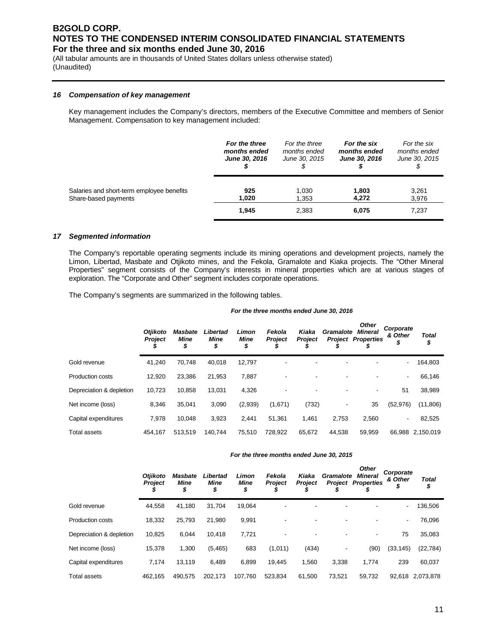(All tabular amounts are in thousands of United States dollars unless otherwise stated) (Unaudited)

#### *16 Compensation of key management*

Key management includes the Company's directors, members of the Executive Committee and members of Senior Management. Compensation to key management included:

| For the three<br>months ended<br>June 30, 2016 | For the three<br>months ended<br>June 30, 2015 | For the six<br>months ended<br><b>June 30, 2016</b> | For the six<br>months ended<br>June 30, 2015 |
|------------------------------------------------|------------------------------------------------|-----------------------------------------------------|----------------------------------------------|
| 925<br>1,020                                   | 1,030<br>1,353                                 | 1,803<br>4.272                                      | 3,261<br>3,976<br>7,237                      |
|                                                |                                                |                                                     | 2,383<br>6,075<br>1,945                      |

#### *17 Segmented information*

The Company's reportable operating segments include its mining operations and development projects, namely the Limon, Libertad, Masbate and Otjikoto mines, and the Fekola, Gramalote and Kiaka projects. The "Other Mineral Properties" segment consists of the Company's interests in mineral properties which are at various stages of exploration. The "Corporate and Other" segment includes corporate operations.

The Company's segments are summarized in the following tables.

#### *For the three months ended June 30, 2016*

|                          | <b>Otjikoto</b><br><b>Project</b> | <b>Masbate</b><br><b>Mine</b><br>\$ | Libertad<br>Mine<br>\$ | Limon<br>Mine<br>\$ | Fekola<br><b>Project</b> | Kiaka<br><b>Project</b> | Gramalote<br>Project | <b>Other</b><br><b>Mineral</b><br><b>Properties</b> | Corporate<br>& Other<br>\$ | <b>Total</b><br>\$ |
|--------------------------|-----------------------------------|-------------------------------------|------------------------|---------------------|--------------------------|-------------------------|----------------------|-----------------------------------------------------|----------------------------|--------------------|
| Gold revenue             | 41.240                            | 70,748                              | 40,018                 | 12,797              |                          |                         |                      |                                                     | ٠                          | 164,803            |
| <b>Production costs</b>  | 12,920                            | 23,386                              | 21,953                 | 7,887               |                          | -                       |                      |                                                     | ٠                          | 66,146             |
| Depreciation & depletion | 10,723                            | 10.858                              | 13.031                 | 4,326               |                          | -                       |                      |                                                     | 51                         | 38,989             |
| Net income (loss)        | 8,346                             | 35,041                              | 3,090                  | (2,939)             | (1,671)                  | (732)                   |                      | 35                                                  | (52, 976)                  | (11,806)           |
| Capital expenditures     | 7,978                             | 10.048                              | 3,923                  | 2,441               | 51,361                   | 1,461                   | 2,753                | 2,560                                               | $\overline{\phantom{a}}$   | 82,525             |
| <b>Total assets</b>      | 454.167                           | 513,519                             | 140.744                | 75,510              | 728.922                  | 65,672                  | 44,538               | 59,959                                              | 66.988                     | 2,150,019          |

#### *For the three months ended June 30, 2015*

|                          | <b>Otiikoto</b><br><b>Project</b> | <b>Masbate</b><br><b>Mine</b><br>\$ | Libertad<br><b>Mine</b><br>\$ | Limon<br><b>Mine</b><br>\$ | Fekola<br><b>Project</b> | Kiaka<br><b>Project</b> | Gramalote | <b>Other</b><br><b>Mineral</b><br><b>Project Properties</b> | Corporate<br>& Other<br>\$ | <b>Total</b><br>\$ |
|--------------------------|-----------------------------------|-------------------------------------|-------------------------------|----------------------------|--------------------------|-------------------------|-----------|-------------------------------------------------------------|----------------------------|--------------------|
| Gold revenue             | 44.558                            | 41,180                              | 31,704                        | 19.064                     |                          |                         |           |                                                             | $\overline{\phantom{0}}$   | 136,506            |
| <b>Production costs</b>  | 18,332                            | 25,793                              | 21.980                        | 9,991                      |                          | ٠                       | ٠         |                                                             | ۰                          | 76,096             |
| Depreciation & depletion | 10.825                            | 6.044                               | 10,418                        | 7.721                      |                          | ٠                       |           | $\overline{\phantom{a}}$                                    | 75                         | 35,083             |
| Net income (loss)        | 15,378                            | 1,300                               | (5, 465)                      | 683                        | (1,011)                  | (434)                   | ٠         | (90)                                                        | (33, 145)                  | (22, 784)          |
| Capital expenditures     | 7,174                             | 13,119                              | 6.489                         | 6.899                      | 19.445                   | 1,560                   | 3,338     | 1,774                                                       | 239                        | 60,037             |
| Total assets             | 462.165                           | 490.575                             | 202,173                       | 107.760                    | 523.834                  | 61.500                  | 73.521    | 59.732                                                      | 92.618                     | 2.073.878          |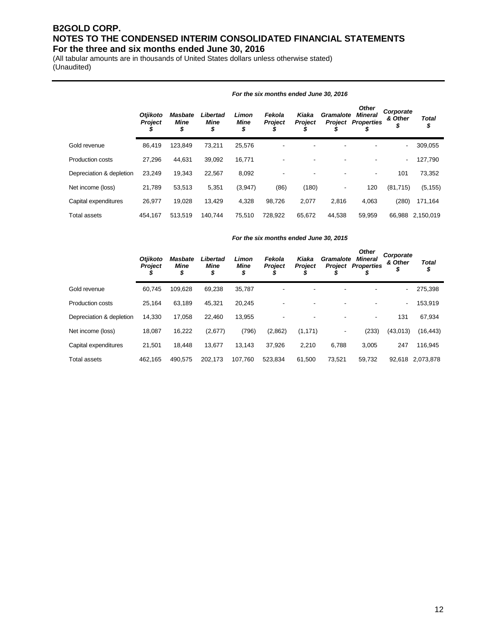(All tabular amounts are in thousands of United States dollars unless otherwise stated) (Unaudited)

|                          | <b>Otjikoto</b><br><b>Project</b><br>D | Masbate<br><b>Mine</b><br>\$ | Libertad<br>Mine<br>\$ | Limon<br>Mine<br>\$ | Fekola<br><b>Project</b> | Kiaka<br><b>Project</b> | Gramalote<br>Project     | <b>Other</b><br><b>Mineral</b><br><b>Properties</b><br>Φ | Corporate<br>& Other<br>\$ | <b>Total</b><br>\$ |
|--------------------------|----------------------------------------|------------------------------|------------------------|---------------------|--------------------------|-------------------------|--------------------------|----------------------------------------------------------|----------------------------|--------------------|
| Gold revenue             | 86.419                                 | 123,849                      | 73,211                 | 25,576              |                          |                         |                          |                                                          | $\overline{\phantom{a}}$   | 309,055            |
| <b>Production costs</b>  | 27,296                                 | 44,631                       | 39,092                 | 16,771              |                          |                         |                          |                                                          | $\overline{\phantom{a}}$   | 127,790            |
| Depreciation & depletion | 23,249                                 | 19,343                       | 22,567                 | 8,092               |                          |                         |                          | $\overline{\phantom{a}}$                                 | 101                        | 73,352             |
| Net income (loss)        | 21,789                                 | 53,513                       | 5,351                  | (3,947)             | (86)                     | (180)                   | $\overline{\phantom{a}}$ | 120                                                      | (81, 715)                  | (5, 155)           |
| Capital expenditures     | 26.977                                 | 19.028                       | 13,429                 | 4,328               | 98,726                   | 2,077                   | 2.816                    | 4.063                                                    | (280)                      | 171,164            |
| Total assets             | 454.167                                | 513.519                      | 140.744                | 75.510              | 728.922                  | 65.672                  | 44.538                   | 59.959                                                   | 66.988                     | 2.150.019          |

#### *For the six months ended June 30, 2016*

#### *For the six months ended June 30, 2015*

|                          | <b>Otiikoto</b><br><b>Project</b> | Masbate<br>Mine<br>\$ | Libertad<br>Mine<br>\$ | Limon<br>Mine<br>\$ | Fekola<br><b>Project</b> | Kiaka<br><b>Project</b> | Gramalote<br><b>Project</b> | <b>Other</b><br>Mineral<br><b>Properties</b> | Corporate<br>& Other<br>⊅ | <b>Total</b><br>\$ |
|--------------------------|-----------------------------------|-----------------------|------------------------|---------------------|--------------------------|-------------------------|-----------------------------|----------------------------------------------|---------------------------|--------------------|
| Gold revenue             | 60,745                            | 109.628               | 69,238                 | 35,787              |                          |                         |                             |                                              | ٠                         | 275,398            |
| <b>Production costs</b>  | 25,164                            | 63,189                | 45,321                 | 20,245              |                          |                         |                             |                                              | ٠                         | 153,919            |
| Depreciation & depletion | 14.330                            | 17.058                | 22.460                 | 13,955              |                          |                         |                             | $\overline{\phantom{a}}$                     | 131                       | 67,934             |
| Net income (loss)        | 18,087                            | 16,222                | (2,677)                | (796)               | (2,862)                  | (1, 171)                |                             | (233)                                        | (43,013)                  | (16, 443)          |
| Capital expenditures     | 21.501                            | 18.448                | 13,677                 | 13,143              | 37,926                   | 2.210                   | 6,788                       | 3.005                                        | 247                       | 116,945            |
| Total assets             | 462.165                           | 490,575               | 202,173                | 107.760             | 523,834                  | 61,500                  | 73,521                      | 59,732                                       | 92.618                    | 2,073,878          |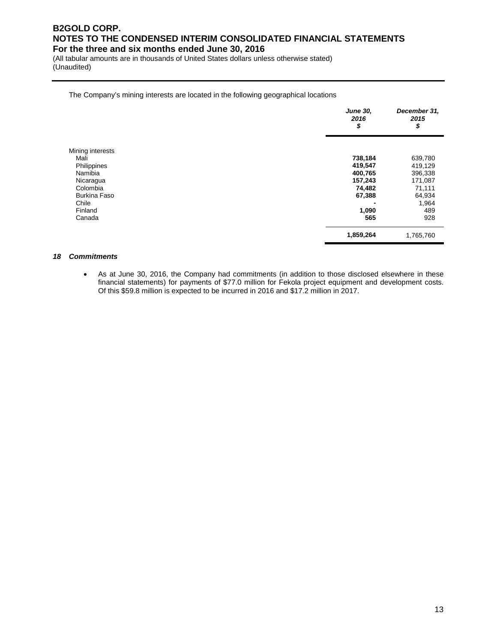(All tabular amounts are in thousands of United States dollars unless otherwise stated) (Unaudited)

#### The Company's mining interests are located in the following geographical locations

|                     | <b>June 30,</b><br>2016<br>\$ | December 31,<br>2015<br>\$ |
|---------------------|-------------------------------|----------------------------|
| Mining interests    |                               |                            |
| Mali                | 738,184                       | 639,780                    |
| Philippines         | 419,547                       | 419,129                    |
| Namibia             | 400,765                       | 396,338                    |
| Nicaragua           | 157,243                       | 171,087                    |
| Colombia            | 74,482                        | 71,111                     |
| <b>Burkina Faso</b> | 67,388                        | 64,934                     |
| Chile               |                               | 1,964                      |
| Finland             | 1,090                         | 489                        |
| Canada              | 565                           | 928                        |
|                     | 1,859,264                     | 1,765,760                  |

#### *18 Commitments*

• As at June 30, 2016, the Company had commitments (in addition to those disclosed elsewhere in these financial statements) for payments of \$77.0 million for Fekola project equipment and development costs. Of this \$59.8 million is expected to be incurred in 2016 and \$17.2 million in 2017.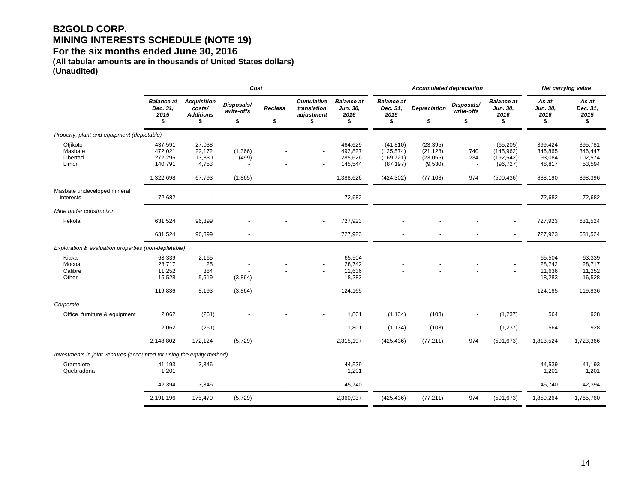## **B2GOLD CORP. MINING INTERESTS SCHEDULE (NOTE 19)**

**For the six months ended June 30, 2016** 

**(All tabular amounts are in thousands of United States dollars) (Unaudited)**

|                                                                       |                                             |                                                        | Cost                           |                          |                                                              |                                             | <b>Accumulated depreciation</b>                    |                                                |                                                                    |                                                    | Net carrying value                     |                                         |
|-----------------------------------------------------------------------|---------------------------------------------|--------------------------------------------------------|--------------------------------|--------------------------|--------------------------------------------------------------|---------------------------------------------|----------------------------------------------------|------------------------------------------------|--------------------------------------------------------------------|----------------------------------------------------|----------------------------------------|-----------------------------------------|
|                                                                       | <b>Balance at</b><br>Dec. 31,<br>2015<br>\$ | <b>Acquisition</b><br>costs/<br><b>Additions</b><br>\$ | Disposals/<br>write-offs<br>\$ | <b>Reclass</b><br>\$     | <b>Cumulative</b><br>translation<br>adjustment<br>\$         | <b>Balance</b> at<br>Jun. 30,<br>2016<br>\$ | <b>Balance</b> at<br>Dec. 31,<br>2015<br>\$        | <b>Depreciation</b><br>\$                      | Disposals/<br>write-offs<br>\$                                     | <b>Balance</b> at<br>Jun. 30,<br>2016<br>\$        | As at<br>Jun. 30,<br>2016<br>\$        | As at<br>Dec. 31,<br>2015<br>\$         |
| Property, plant and equipment (depletable)                            |                                             |                                                        |                                |                          |                                                              |                                             |                                                    |                                                |                                                                    |                                                    |                                        |                                         |
| Otjikoto<br>Masbate<br>Libertad<br>Limon                              | 437,591<br>472,021<br>272,295<br>140,791    | 27,038<br>22,172<br>13,830<br>4,753                    | (1,366)<br>(499)               |                          | $\blacksquare$                                               | 464,629<br>492,827<br>285,626<br>145,544    | (41, 810)<br>(125, 574)<br>(169, 721)<br>(87, 197) | (23, 395)<br>(21, 128)<br>(23, 055)<br>(9,530) | $\overline{\phantom{a}}$<br>740<br>234<br>$\overline{\phantom{a}}$ | (65, 205)<br>(145, 962)<br>(192, 542)<br>(96, 727) | 399,424<br>346,865<br>93,084<br>48,817 | 395,781<br>346,447<br>102,574<br>53,594 |
|                                                                       | 1,322,698                                   | 67,793                                                 | (1,865)                        | ä,                       | $\blacksquare$                                               | 1,388,626                                   | (424, 302)                                         | (77, 108)                                      | 974                                                                | (500, 436)                                         | 888,190                                | 898,396                                 |
| Masbate undeveloped mineral<br>interests                              | 72,682                                      |                                                        |                                |                          | $\blacksquare$                                               | 72,682                                      |                                                    |                                                |                                                                    | $\blacksquare$                                     | 72,682                                 | 72,682                                  |
| Mine under construction                                               |                                             |                                                        |                                |                          |                                                              |                                             |                                                    |                                                |                                                                    |                                                    |                                        |                                         |
| Fekola                                                                | 631,524                                     | 96,399                                                 |                                |                          |                                                              | 727,923                                     |                                                    |                                                |                                                                    | $\sim$                                             | 727,923                                | 631,524                                 |
|                                                                       | 631,524                                     | 96,399                                                 | ÷,                             |                          |                                                              | 727,923                                     | $\sim$                                             |                                                | $\overline{\phantom{a}}$                                           | $\blacksquare$                                     | 727,923                                | 631,524                                 |
| Exploration & evaluation properties (non-depletable)                  |                                             |                                                        |                                |                          |                                                              |                                             |                                                    |                                                |                                                                    |                                                    |                                        |                                         |
| Kiaka<br>Mocoa<br>Calibre<br>Other                                    | 63,339<br>28,717<br>11,252<br>16,528        | 2,165<br>25<br>384<br>5,619                            | (3,864)                        |                          | $\overline{\phantom{a}}$<br>$\blacksquare$<br>$\blacksquare$ | 65,504<br>28,742<br>11,636<br>18,283        |                                                    |                                                |                                                                    | $\blacksquare$<br>$\sim$                           | 65,504<br>28,742<br>11,636<br>18,283   | 63,339<br>28,717<br>11,252<br>16,528    |
|                                                                       | 119,836                                     | 8,193                                                  | (3,864)                        |                          |                                                              | 124,165                                     |                                                    |                                                |                                                                    |                                                    | 124,165                                | 119,836                                 |
| Corporate                                                             |                                             |                                                        |                                |                          |                                                              |                                             |                                                    |                                                |                                                                    |                                                    |                                        |                                         |
| Office, furniture & equipment                                         | 2,062                                       | (261)                                                  | $\blacksquare$                 |                          | $\blacksquare$                                               | 1,801                                       | (1, 134)                                           | (103)                                          | $\blacksquare$                                                     | (1, 237)                                           | 564                                    | 928                                     |
|                                                                       | 2,062                                       | (261)                                                  | ÷,                             | ÷.                       |                                                              | 1,801                                       | (1, 134)                                           | (103)                                          | $\blacksquare$                                                     | (1, 237)                                           | 564                                    | 928                                     |
|                                                                       | 2,148,802                                   | 172,124                                                | (5, 729)                       | ä,                       | $\mathbf{r}$                                                 | 2,315,197                                   | (425, 436)                                         | (77, 211)                                      | 974                                                                | (501, 673)                                         | 1,813,524                              | 1,723,366                               |
| Investments in joint ventures (accounted for using the equity method) |                                             |                                                        |                                |                          |                                                              |                                             |                                                    |                                                |                                                                    |                                                    |                                        |                                         |
| Gramalote<br>Quebradona                                               | 41,193<br>1,201                             | 3,346                                                  |                                |                          |                                                              | 44,539<br>1,201                             |                                                    |                                                |                                                                    | $\overline{\phantom{a}}$                           | 44,539<br>1,201                        | 41,193<br>1,201                         |
|                                                                       | 42,394                                      | 3,346                                                  |                                | $\overline{\phantom{a}}$ |                                                              | 45,740                                      | $\sim$                                             |                                                |                                                                    |                                                    | 45,740                                 | 42,394                                  |
|                                                                       | 2,191,196                                   | 175,470                                                | (5, 729)                       | $\blacksquare$           | $\blacksquare$                                               | 2,360,937                                   | (425, 436)                                         | (77, 211)                                      | 974                                                                | (501, 673)                                         | 1,859,264                              | 1,765,760                               |
|                                                                       |                                             |                                                        |                                |                          |                                                              |                                             |                                                    |                                                |                                                                    |                                                    |                                        |                                         |